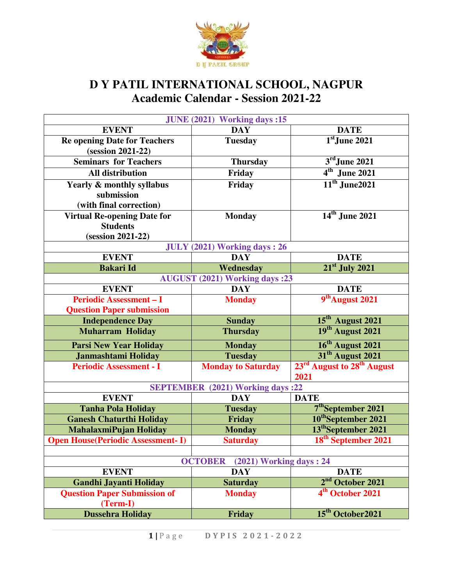

## **D Y PATIL INTERNATIONAL SCHOOL, NAGPUR Academic Calendar - Session 2021-22**

| JUNE (2021) Working days :15             |                                           |                                                    |  |  |
|------------------------------------------|-------------------------------------------|----------------------------------------------------|--|--|
| <b>EVENT</b>                             | <b>DAY</b>                                | <b>DATE</b>                                        |  |  |
| <b>Re opening Date for Teachers</b>      | <b>Tuesday</b>                            | $1st$ June 2021                                    |  |  |
| (session 2021-22)                        |                                           |                                                    |  |  |
| <b>Seminars for Teachers</b>             | <b>Thursday</b>                           | $3rd$ June 2021                                    |  |  |
| <b>All distribution</b>                  | Friday                                    | $4th$ June 2021                                    |  |  |
| Yearly & monthly syllabus                | Friday                                    | $11th$ June2021                                    |  |  |
| submission                               |                                           |                                                    |  |  |
| (with final correction)                  |                                           |                                                    |  |  |
| <b>Virtual Re-opening Date for</b>       | <b>Monday</b>                             | 14 <sup>th</sup> June 2021                         |  |  |
| <b>Students</b>                          |                                           |                                                    |  |  |
| (session 2021-22)                        |                                           |                                                    |  |  |
| <b>JULY (2021) Working days: 26</b>      |                                           |                                                    |  |  |
| <b>EVENT</b>                             | <b>DAY</b>                                | <b>DATE</b>                                        |  |  |
| <b>Bakari Id</b>                         | Wednesday                                 | $21st$ July 2021                                   |  |  |
|                                          | <b>AUGUST (2021) Working days :23</b>     |                                                    |  |  |
| <b>EVENT</b>                             | <b>DAY</b>                                | <b>DATE</b>                                        |  |  |
| <b>Periodic Assessment - I</b>           | <b>Monday</b>                             | 9 <sup>th</sup> August 2021                        |  |  |
| <b>Question Paper submission</b>         |                                           |                                                    |  |  |
| <b>Independence Day</b>                  | <b>Sunday</b>                             | $15th$ August 2021                                 |  |  |
| <b>Muharram Holiday</b>                  | <b>Thursday</b>                           | 19 <sup>th</sup> August 2021                       |  |  |
| <b>Parsi New Year Holiday</b>            | <b>Monday</b>                             | 16 <sup>th</sup> August 2021                       |  |  |
| <b>Janmashtami Holiday</b>               | <b>Tuesday</b>                            | 31 <sup>th</sup> August 2021                       |  |  |
| <b>Periodic Assessment - I</b>           | <b>Monday to Saturday</b>                 | 23 <sup>rd</sup> August to 28 <sup>th</sup> August |  |  |
|                                          |                                           | 2021                                               |  |  |
|                                          | <b>SEPTEMBER</b> (2021) Working days :22  |                                                    |  |  |
| <b>EVENT</b>                             | <b>DAY</b>                                | <b>DATE</b>                                        |  |  |
| <b>Tanha Pola Holiday</b>                | <b>Tuesday</b>                            | 7 <sup>th</sup> September 2021                     |  |  |
| <b>Ganesh Chaturthi Holiday</b>          | Friday                                    | 10 <sup>th</sup> September 2021                    |  |  |
| MahalaxmiPujan Holiday                   | <b>Monday</b>                             | 13 <sup>th</sup> September 2021                    |  |  |
| <b>Open House(Periodic Assessment-I)</b> | <b>Saturday</b>                           | 18 <sup>th</sup> September 2021                    |  |  |
|                                          |                                           |                                                    |  |  |
|                                          | <b>OCTOBER</b><br>(2021) Working days: 24 |                                                    |  |  |
| <b>EVENT</b>                             | <b>DAY</b>                                | <b>DATE</b>                                        |  |  |
| <b>Gandhi Jayanti Holiday</b>            | <b>Saturday</b>                           | 2 <sup>nd</sup> October 2021                       |  |  |
| <b>Question Paper Submission of</b>      | <b>Monday</b>                             | 4 <sup>th</sup> October 2021                       |  |  |
| (Term-I)                                 |                                           |                                                    |  |  |
| <b>Dussehra Holiday</b>                  | Friday                                    | 15 <sup>th</sup> October2021                       |  |  |